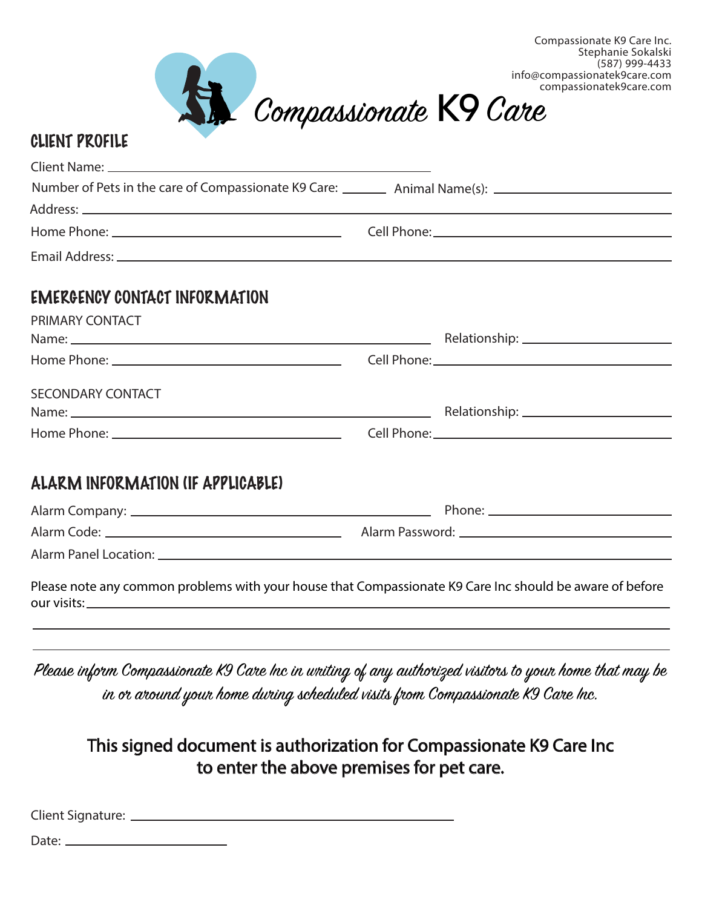

(587) 999-4433

| Number of Pets in the care of Compassionate K9 Care: __________ Animal Name(s): ____________________     |  |  |
|----------------------------------------------------------------------------------------------------------|--|--|
|                                                                                                          |  |  |
|                                                                                                          |  |  |
|                                                                                                          |  |  |
| <b>EMERGENCY CONTACT INFORMATION</b>                                                                     |  |  |
| PRIMARY CONTACT                                                                                          |  |  |
|                                                                                                          |  |  |
|                                                                                                          |  |  |
| <b>SECONDARY CONTACT</b>                                                                                 |  |  |
|                                                                                                          |  |  |
|                                                                                                          |  |  |
| ALARM INFORMATION (IF APPLICABLE)                                                                        |  |  |
|                                                                                                          |  |  |
|                                                                                                          |  |  |
|                                                                                                          |  |  |
| Please note any common problems with your house that Compassionate K9 Care Inc should be aware of before |  |  |

Please inform Compassionate K9 Care Inc in writing of any authorized visitors to your home that may be in or around your home during scheduled visits from Compassionate K9 Care Inc.

## This signed document is authorization for Compassionate K9 Care Inc to enter the above premises for pet care.

Client Signature:

our visits:

Date: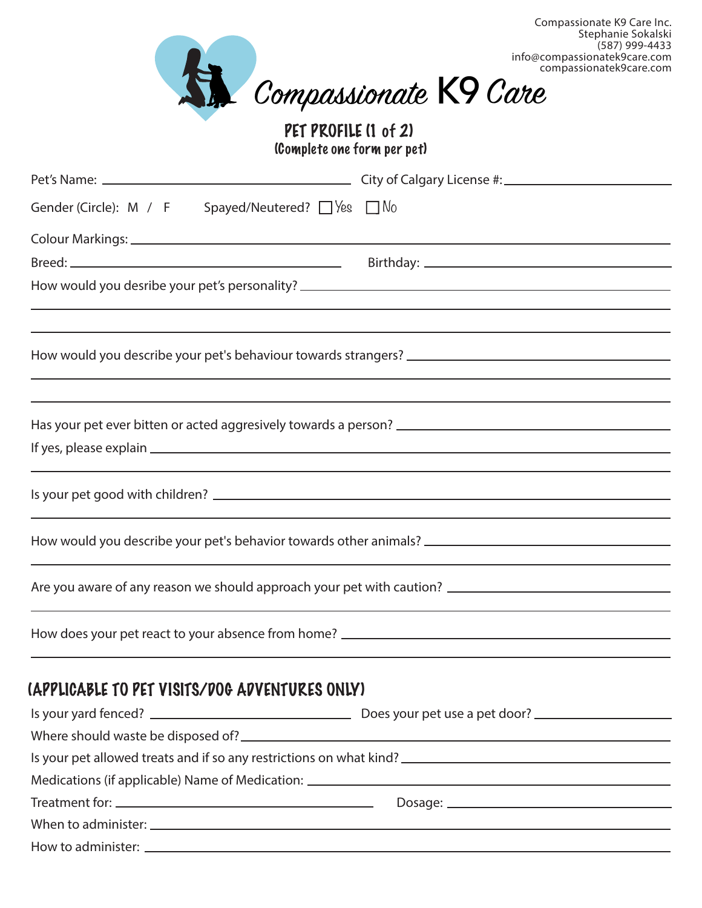

## PET PROFILE (1 of 2) (Complete one form per pet)

| Gender (Circle): $\,$ M $\,$ / $\,$ F Spayed/Neutered? $\Box$ Yes $\,$ $\Box$ No                                 |  |  |
|------------------------------------------------------------------------------------------------------------------|--|--|
|                                                                                                                  |  |  |
|                                                                                                                  |  |  |
|                                                                                                                  |  |  |
|                                                                                                                  |  |  |
|                                                                                                                  |  |  |
|                                                                                                                  |  |  |
| and the control of the control of the control of the control of the control of the control of the control of the |  |  |
|                                                                                                                  |  |  |
|                                                                                                                  |  |  |
|                                                                                                                  |  |  |
| How would you describe your pet's behavior towards other animals? __________________________________             |  |  |
| Are you aware of any reason we should approach your pet with caution? ______________________________             |  |  |
|                                                                                                                  |  |  |
|                                                                                                                  |  |  |
|                                                                                                                  |  |  |

## (APPLICABLE TO PET VISITS/DOG ADVENTURES ONLY)

| Is your pet allowed treats and if so any restrictions on what kind?               |  |  |
|-----------------------------------------------------------------------------------|--|--|
| Medications (if applicable) Name of Medication: _________________________________ |  |  |
|                                                                                   |  |  |
|                                                                                   |  |  |
|                                                                                   |  |  |